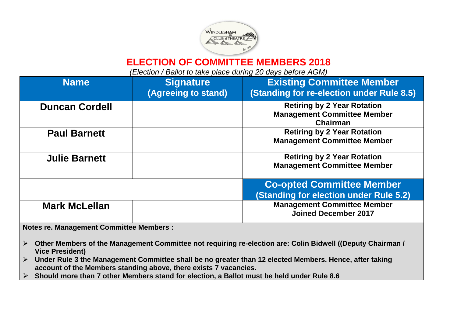

## **ELECTION OF COMMITTEE MEMBERS 2018**

*(Election / Ballot to take place during 20 days before AGM)*

| <b>Name</b>           | <b>Signature</b><br>(Agreeing to stand) | <b>Existing Committee Member</b><br>(Standing for re-election under Rule 8.5)        |
|-----------------------|-----------------------------------------|--------------------------------------------------------------------------------------|
| <b>Duncan Cordell</b> |                                         | <b>Retiring by 2 Year Rotation</b><br><b>Management Committee Member</b><br>Chairman |
| <b>Paul Barnett</b>   |                                         | <b>Retiring by 2 Year Rotation</b><br><b>Management Committee Member</b>             |
| <b>Julie Barnett</b>  |                                         | <b>Retiring by 2 Year Rotation</b><br><b>Management Committee Member</b>             |
|                       |                                         | <b>Co-opted Committee Member</b><br>(Standing for election under Rule 5.2)           |
| <b>Mark McLellan</b>  |                                         | <b>Management Committee Member</b><br><b>Joined December 2017</b>                    |

**Notes re. Management Committee Members :** 

- ➢ **Other Members of the Management Committee not requiring re-election are: Colin Bidwell ((Deputy Chairman / Vice President)**
- ➢ **Under Rule 3 the Management Committee shall be no greater than 12 elected Members. Hence, after taking account of the Members standing above, there exists 7 vacancies.**
- ➢ **Should more than 7 other Members stand for election, a Ballot must be held under Rule 8.6**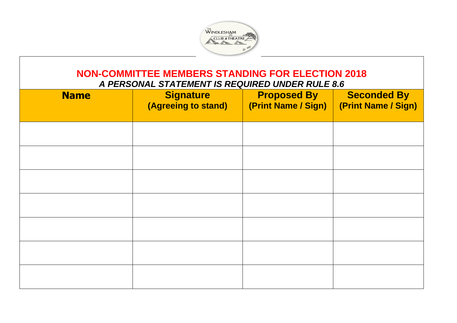

## **NON-COMMITTEE MEMBERS STANDING FOR ELECTION 2018**

*A PERSONAL STATEMENT IS REQUIRED UNDER RULE 8.6*

| <b>Name</b> | <b>Signature</b><br>(Agreeing to stand) | <b>Proposed By</b><br>(Print Name / Sign) | <b>Seconded By</b><br>(Print Name / Sign) |
|-------------|-----------------------------------------|-------------------------------------------|-------------------------------------------|
|             |                                         |                                           |                                           |
|             |                                         |                                           |                                           |
|             |                                         |                                           |                                           |
|             |                                         |                                           |                                           |
|             |                                         |                                           |                                           |
|             |                                         |                                           |                                           |
|             |                                         |                                           |                                           |